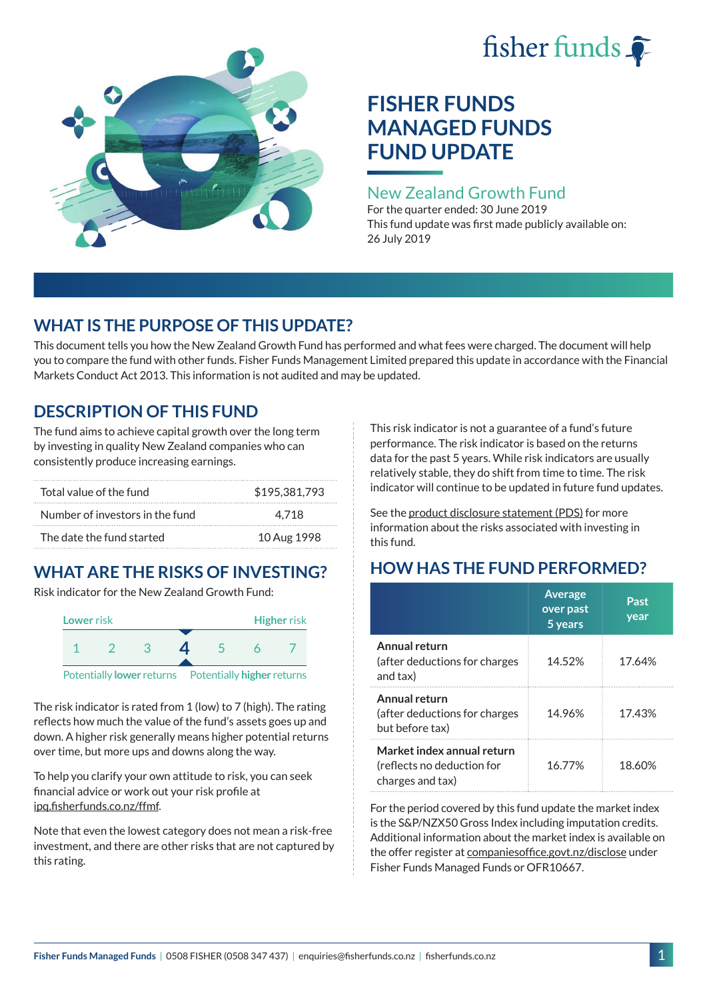# fisher funds  $\hat{\bullet}$



# **FISHER FUNDS MANAGED FUNDS FUND UPDATE**

## New Zealand Growth Fund

For the quarter ended: 30 June 2019 This fund update was first made publicly available on: 26 July 2019

# **WHAT IS THE PURPOSE OF THIS UPDATE?**

This document tells you how the New Zealand Growth Fund has performed and what fees were charged. The document will help you to compare the fund with other funds. Fisher Funds Management Limited prepared this update in accordance with the Financial Markets Conduct Act 2013. This information is not audited and may be updated.

## **DESCRIPTION OF THIS FUND**

The fund aims to achieve capital growth over the long term by investing in quality New Zealand companies who can consistently produce increasing earnings.

| Total value of the fund         | \$195,381,793 |
|---------------------------------|---------------|
| Number of investors in the fund | 4.718         |
| The date the fund started       | 10 Aug 1998   |

# **WHAT ARE THE RISKS OF INVESTING?**

Risk indicator for the New Zealand Growth Fund:



The risk indicator is rated from 1 (low) to 7 (high). The rating reflects how much the value of the fund's assets goes up and down. A higher risk generally means higher potential returns over time, but more ups and downs along the way.

To help you clarify your own attitude to risk, you can seek financial advice or work out your risk profile at [ipq.fisherfunds.co.nz/ffmf](https://ipq.fisherfunds.co.nz/ffmf).

Note that even the lowest category does not mean a risk-free investment, and there are other risks that are not captured by this rating.

This risk indicator is not a guarantee of a fund's future performance. The risk indicator is based on the returns data for the past 5 years. While risk indicators are usually relatively stable, they do shift from time to time. The risk indicator will continue to be updated in future fund updates.

See the [product disclosure statement \(PDS\)](https://fisherfunds.co.nz/assets/PDS/Fisher-Funds-Managed-Funds-PDS.pdf) for more information about the risks associated with investing in this fund.

# **HOW HAS THE FUND PERFORMED?**

|                                                                              | <b>Average</b><br>over past<br>5 years | Past<br>year |
|------------------------------------------------------------------------------|----------------------------------------|--------------|
| Annual return<br>(after deductions for charges<br>and tax)                   | 14.52%                                 | 17.64%       |
| Annual return<br>(after deductions for charges<br>but before tax)            | 14.96%                                 | 17.43%       |
| Market index annual return<br>(reflects no deduction for<br>charges and tax) | 16.77%                                 | 18.60%       |

For the period covered by this fund update the market index is the S&P/NZX50 Gross Index including imputation credits. Additional information about the market index is available on the offer register at [companiesoffice.govt.nz/disclose](http://companiesoffice.govt.nz/disclose) under Fisher Funds Managed Funds or OFR10667.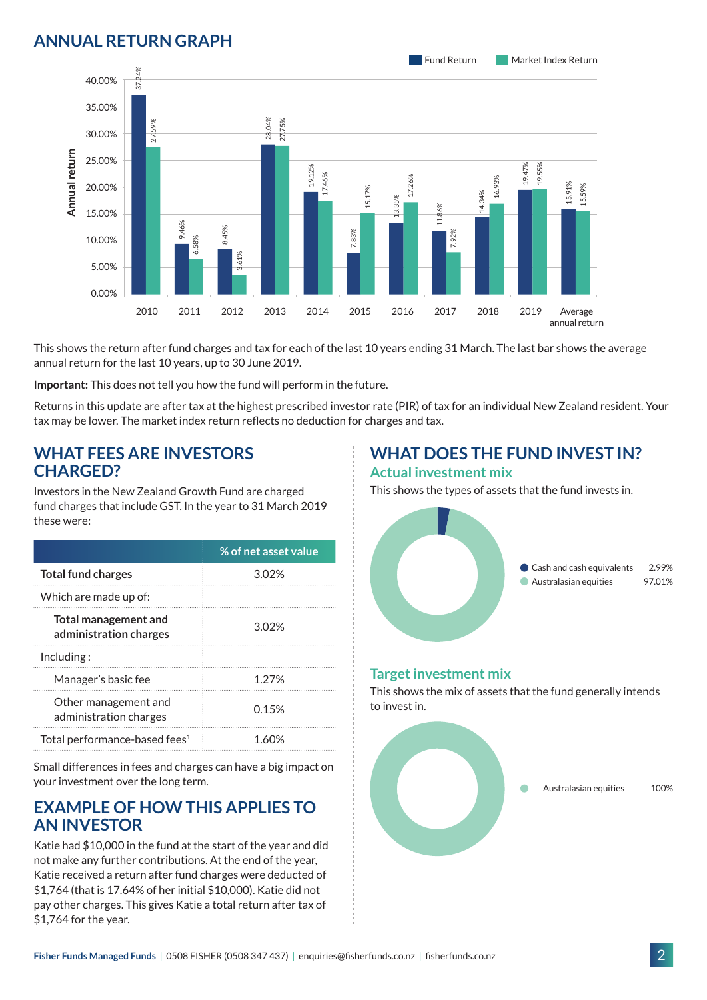## **ANNUAL RETURN GRAPH**



This shows the return after fund charges and tax for each of the last 10 years ending 31 March. The last bar shows the average annual return for the last 10 years, up to 30 June 2019.

**Important:** This does not tell you how the fund will perform in the future.

Returns in this update are after tax at the highest prescribed investor rate (PIR) of tax for an individual New Zealand resident. Your tax may be lower. The market index return reflects no deduction for charges and tax.

#### **WHAT FEES ARE INVESTORS CHARGED?**

Investors in the New Zealand Growth Fund are charged fund charges that include GST. In the year to 31 March 2019 these were:

|                                                       | % of net asset value |
|-------------------------------------------------------|----------------------|
| <b>Total fund charges</b>                             | 302%                 |
| Which are made up of:                                 |                      |
| <b>Total management and</b><br>administration charges | 3.02%                |
| Inding:                                               |                      |
| Manager's basic fee                                   | 1 27%                |
| Other management and<br>administration charges        | 0.15%                |
| Total performance-based fees <sup>1</sup>             |                      |

Small differences in fees and charges can have a big impact on your investment over the long term.

### **EXAMPLE OF HOW THIS APPLIES TO AN INVESTOR**

Katie had \$10,000 in the fund at the start of the year and did not make any further contributions. At the end of the year, Katie received a return after fund charges were deducted of \$1,764 (that is 17.64% of her initial \$10,000). Katie did not pay other charges. This gives Katie a total return after tax of \$1,764 for the year.

#### **WHAT DOES THE FUND INVEST IN? Actual investment mix**

This shows the types of assets that the fund invests in.



#### **Target investment mix**

This shows the mix of assets that the fund generally intends to invest in.